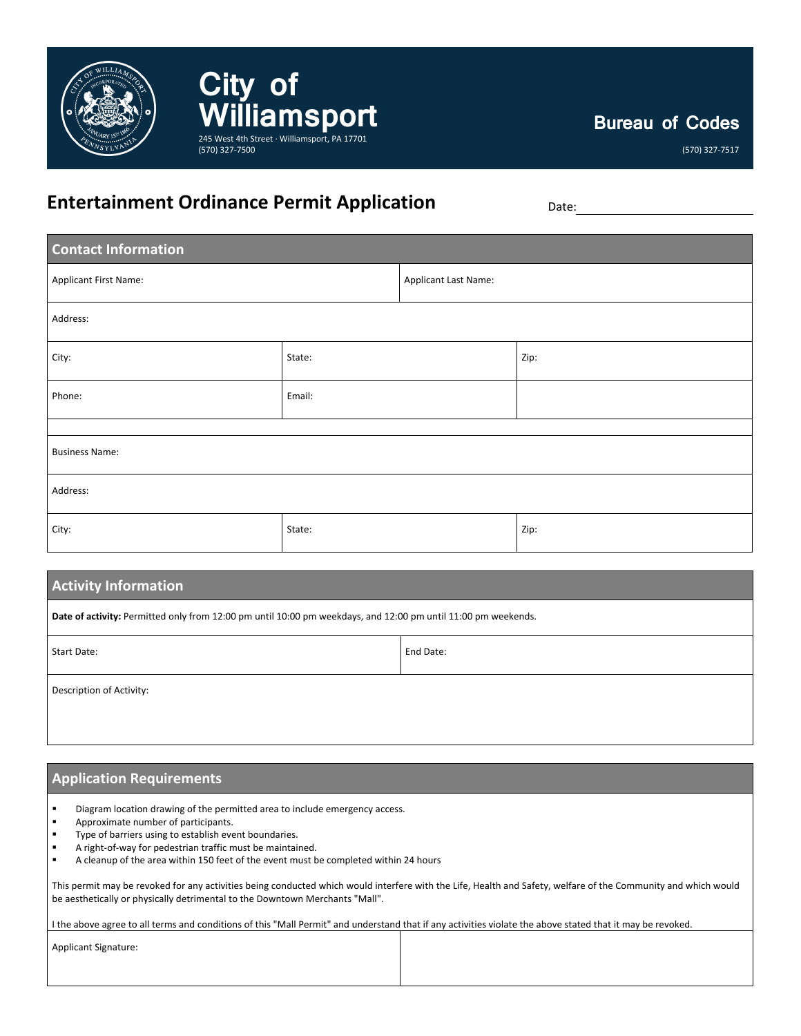

**Bureau of Codes**

(570) 327-7517

## **Entertainment Ordinance Permit Application** Date:

(570) 327-7500

**City of** 

**Williamsport**

245 West 4th Street · Williamsport, PA 17701

| <b>Contact Information</b> |        |                      |      |  |
|----------------------------|--------|----------------------|------|--|
| Applicant First Name:      |        | Applicant Last Name: |      |  |
| Address:                   |        |                      |      |  |
| City:                      | State: |                      | Zip: |  |
| Phone:                     | Email: |                      |      |  |
|                            |        |                      |      |  |
| <b>Business Name:</b>      |        |                      |      |  |
| Address:                   |        |                      |      |  |
| City:                      | State: |                      | Zip: |  |

| <b>Activity Information</b>                                                                                   |           |  |  |
|---------------------------------------------------------------------------------------------------------------|-----------|--|--|
| Date of activity: Permitted only from 12:00 pm until 10:00 pm weekdays, and 12:00 pm until 11:00 pm weekends. |           |  |  |
| Start Date:                                                                                                   | End Date: |  |  |
| Description of Activity:                                                                                      |           |  |  |

## **Application Requirements**

Diagram location drawing of the permitted area to include emergency access.

- **Approximate number of participants.**
- **Type of barriers using to establish event boundaries.**
- A right-of-way for pedestrian traffic must be maintained.
- A cleanup of the area within 150 feet of the event must be completed within 24 hours

This permit may be revoked for any activities being conducted which would interfere with the Life, Health and Safety, welfare of the Community and which would be aesthetically or physically detrimental to the Downtown Merchants "Mall".

I the above agree to all terms and conditions of this "Mall Permit" and understand that if any activities violate the above stated that it may be revoked.

Applicant Signature: